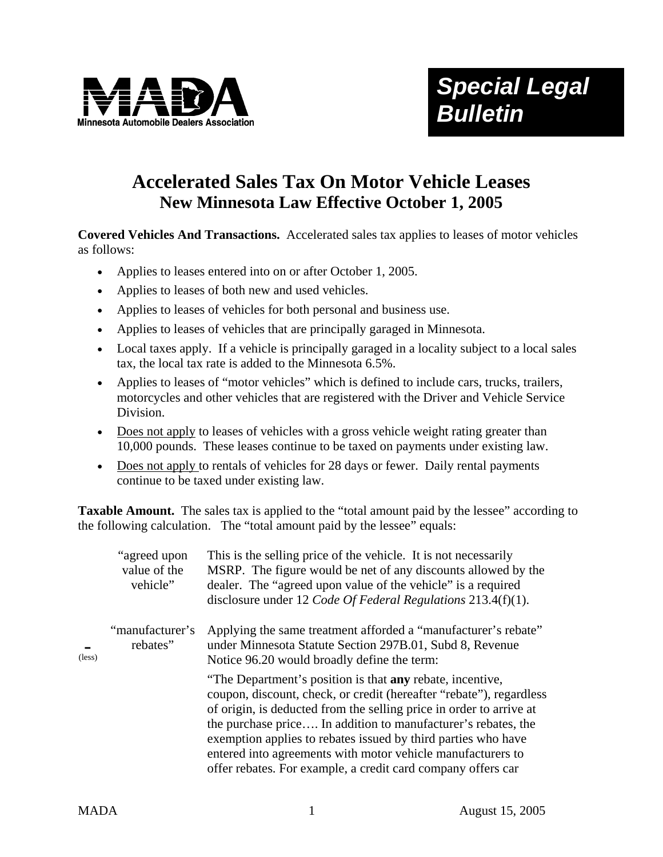

## **Accelerated Sales Tax On Motor Vehicle Leases New Minnesota Law Effective October 1, 2005**

**Covered Vehicles And Transactions.** Accelerated sales tax applies to leases of motor vehicles as follows:

- Applies to leases entered into on or after October 1, 2005.
- Applies to leases of both new and used vehicles.
- Applies to leases of vehicles for both personal and business use.
- Applies to leases of vehicles that are principally garaged in Minnesota.
- Local taxes apply. If a vehicle is principally garaged in a locality subject to a local sales tax, the local tax rate is added to the Minnesota 6.5%.
- Applies to leases of "motor vehicles" which is defined to include cars, trucks, trailers, motorcycles and other vehicles that are registered with the Driver and Vehicle Service Division.
- Does not apply to leases of vehicles with a gross vehicle weight rating greater than 10,000 pounds. These leases continue to be taxed on payments under existing law.
- Does not apply to rentals of vehicles for 28 days or fewer. Daily rental payments continue to be taxed under existing law.

**Taxable Amount.** The sales tax is applied to the "total amount paid by the lessee" according to the following calculation. The "total amount paid by the lessee" equals:

| $(\text{less})$ | "agreed upon"<br>value of the<br>vehicle" | This is the selling price of the vehicle. It is not necessarily<br>MSRP. The figure would be net of any discounts allowed by the<br>dealer. The "agreed upon value of the vehicle" is a required<br>disclosure under 12 Code Of Federal Regulations 213.4(f)(1).                                                                                                                                                                                                                |
|-----------------|-------------------------------------------|---------------------------------------------------------------------------------------------------------------------------------------------------------------------------------------------------------------------------------------------------------------------------------------------------------------------------------------------------------------------------------------------------------------------------------------------------------------------------------|
|                 | "manufacturer's<br>rebates"               | Applying the same treatment afforded a "manufacturer's rebate"<br>under Minnesota Statute Section 297B.01, Subd 8, Revenue<br>Notice 96.20 would broadly define the term:                                                                                                                                                                                                                                                                                                       |
|                 |                                           | "The Department's position is that <b>any</b> rebate, incentive,<br>coupon, discount, check, or credit (hereafter "rebate"), regardless<br>of origin, is deducted from the selling price in order to arrive at<br>the purchase price In addition to manufacturer's rebates, the<br>exemption applies to rebates issued by third parties who have<br>entered into agreements with motor vehicle manufacturers to<br>offer rebates. For example, a credit card company offers car |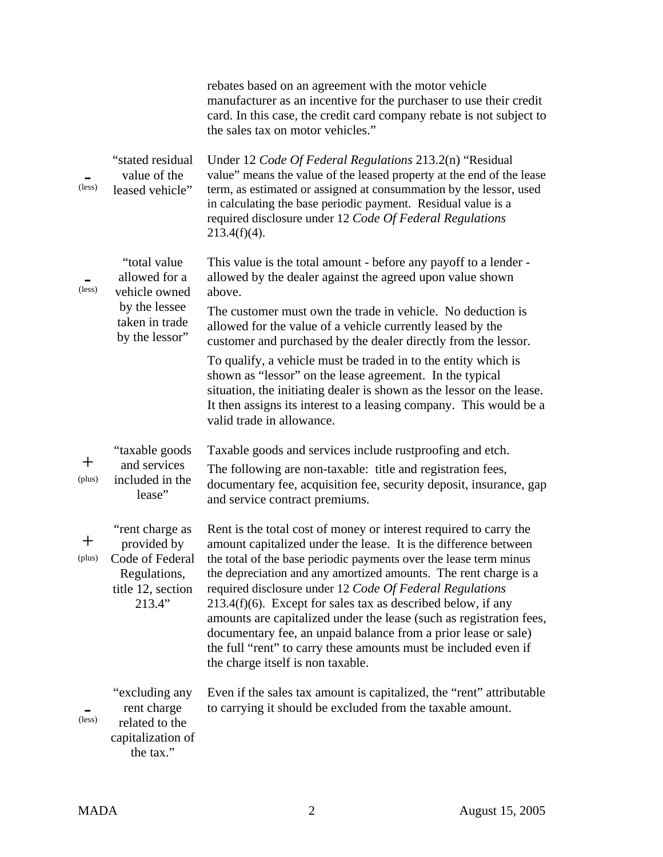|                 |                                                                                                  | rebates based on an agreement with the motor vehicle<br>manufacturer as an incentive for the purchaser to use their credit<br>card. In this case, the credit card company rebate is not subject to<br>the sales tax on motor vehicles."                                                                                                                                                                                                                                                                                                                                                                                                                        |
|-----------------|--------------------------------------------------------------------------------------------------|----------------------------------------------------------------------------------------------------------------------------------------------------------------------------------------------------------------------------------------------------------------------------------------------------------------------------------------------------------------------------------------------------------------------------------------------------------------------------------------------------------------------------------------------------------------------------------------------------------------------------------------------------------------|
| (less)          | "stated residual<br>value of the<br>leased vehicle"                                              | Under 12 Code Of Federal Regulations 213.2(n) "Residual<br>value" means the value of the leased property at the end of the lease<br>term, as estimated or assigned at consummation by the lessor, used<br>in calculating the base periodic payment. Residual value is a<br>required disclosure under 12 Code Of Federal Regulations<br>$213.4(f)(4)$ .                                                                                                                                                                                                                                                                                                         |
| (less)          | "total value"<br>allowed for a<br>vehicle owned                                                  | This value is the total amount - before any payoff to a lender -<br>allowed by the dealer against the agreed upon value shown<br>above.                                                                                                                                                                                                                                                                                                                                                                                                                                                                                                                        |
|                 | by the lessee<br>taken in trade<br>by the lessor"                                                | The customer must own the trade in vehicle. No deduction is<br>allowed for the value of a vehicle currently leased by the<br>customer and purchased by the dealer directly from the lessor.                                                                                                                                                                                                                                                                                                                                                                                                                                                                    |
|                 |                                                                                                  | To qualify, a vehicle must be traded in to the entity which is<br>shown as "lessor" on the lease agreement. In the typical<br>situation, the initiating dealer is shown as the lessor on the lease.<br>It then assigns its interest to a leasing company. This would be a<br>valid trade in allowance.                                                                                                                                                                                                                                                                                                                                                         |
| $\pm$<br>(plus) | "taxable goods"<br>and services<br>included in the<br>lease"                                     | Taxable goods and services include rustproofing and etch.<br>The following are non-taxable: title and registration fees,<br>documentary fee, acquisition fee, security deposit, insurance, gap<br>and service contract premiums.                                                                                                                                                                                                                                                                                                                                                                                                                               |
| 十<br>(plus)     | "rent charge as<br>provided by<br>Code of Federal<br>Regulations,<br>title 12, section<br>213.4" | Rent is the total cost of money or interest required to carry the<br>amount capitalized under the lease. It is the difference between<br>the total of the base periodic payments over the lease term minus<br>the depreciation and any amortized amounts. The rent charge is a<br>required disclosure under 12 Code Of Federal Regulations<br>$213.4(f)(6)$ . Except for sales tax as described below, if any<br>amounts are capitalized under the lease (such as registration fees,<br>documentary fee, an unpaid balance from a prior lease or sale)<br>the full "rent" to carry these amounts must be included even if<br>the charge itself is non taxable. |
| (less)          | "excluding any<br>rent charge<br>related to the<br>capitalization of<br>the tax."                | Even if the sales tax amount is capitalized, the "rent" attributable<br>to carrying it should be excluded from the taxable amount.                                                                                                                                                                                                                                                                                                                                                                                                                                                                                                                             |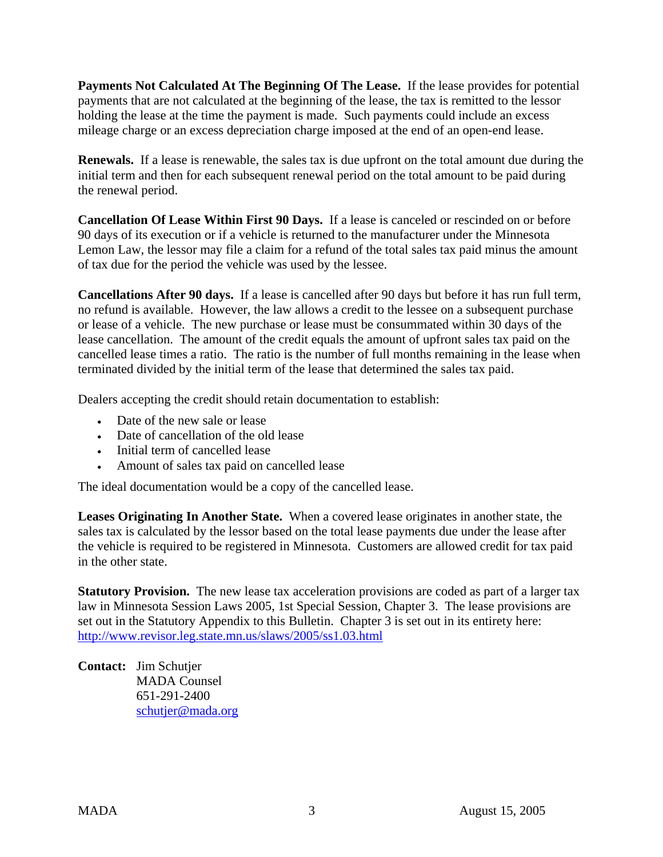**Payments Not Calculated At The Beginning Of The Lease.** If the lease provides for potential payments that are not calculated at the beginning of the lease, the tax is remitted to the lessor holding the lease at the time the payment is made. Such payments could include an excess mileage charge or an excess depreciation charge imposed at the end of an open-end lease.

**Renewals.** If a lease is renewable, the sales tax is due upfront on the total amount due during the initial term and then for each subsequent renewal period on the total amount to be paid during the renewal period.

**Cancellation Of Lease Within First 90 Days.** If a lease is canceled or rescinded on or before 90 days of its execution or if a vehicle is returned to the manufacturer under the Minnesota Lemon Law, the lessor may file a claim for a refund of the total sales tax paid minus the amount of tax due for the period the vehicle was used by the lessee.

**Cancellations After 90 days.** If a lease is cancelled after 90 days but before it has run full term, no refund is available. However, the law allows a credit to the lessee on a subsequent purchase or lease of a vehicle. The new purchase or lease must be consummated within 30 days of the lease cancellation. The amount of the credit equals the amount of upfront sales tax paid on the cancelled lease times a ratio. The ratio is the number of full months remaining in the lease when terminated divided by the initial term of the lease that determined the sales tax paid.

Dealers accepting the credit should retain documentation to establish:

- Date of the new sale or lease
- Date of cancellation of the old lease
- Initial term of cancelled lease
- Amount of sales tax paid on cancelled lease

The ideal documentation would be a copy of the cancelled lease.

**Leases Originating In Another State.** When a covered lease originates in another state, the sales tax is calculated by the lessor based on the total lease payments due under the lease after the vehicle is required to be registered in Minnesota. Customers are allowed credit for tax paid in the other state.

**Statutory Provision.** The new lease tax acceleration provisions are coded as part of a larger tax law in Minnesota Session Laws 2005, 1st Special Session, Chapter 3. The lease provisions are set out in the Statutory Appendix to this Bulletin. Chapter 3 is set out in its entirety here: http://www.revisor.leg.state.mn.us/slaws/2005/ss1.03.html

**Contact:** Jim Schutjer MADA Counsel 651-291-2400 schutjer@mada.org